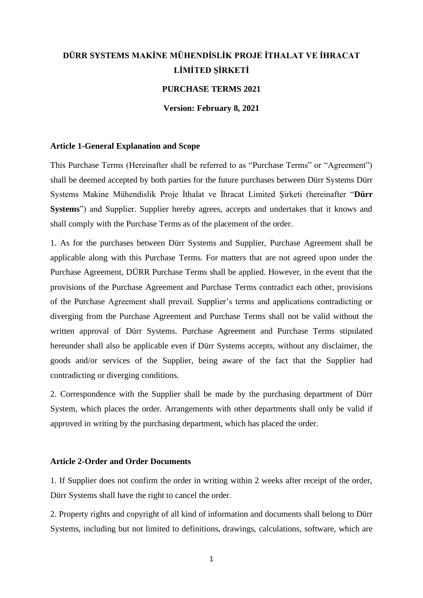# **DÜRR SYSTEMS MAKİNE MÜHENDİSLİK PROJE İTHALAT VE İHRACAT LİMİTED ŞİRKETİ**

# **PURCHASE TERMS 2021**

**Version: February 8, 2021** 

## **Article 1-General Explanation and Scope**

This Purchase Terms (Hereinafter shall be referred to as "Purchase Terms" or "Agreement") shall be deemed accepted by both parties for the future purchases between Dürr Systems Dürr Systems Makine Mühendislik Proje İthalat ve İhracat Limited Şirketi (hereinafter "**Dürr Systems**") and Supplier. Supplier hereby agrees, accepts and undertakes that it knows and shall comply with the Purchase Terms as of the placement of the order.

1. As for the purchases between Dürr Systems and Supplier, Purchase Agreement shall be applicable along with this Purchase Terms. For matters that are not agreed upon under the Purchase Agreement, DÜRR Purchase Terms shall be applied. However, in the event that the provisions of the Purchase Agreement and Purchase Terms contradict each other, provisions of the Purchase Agreement shall prevail. Supplier's terms and applications contradicting or diverging from the Purchase Agreement and Purchase Terms shall not be valid without the written approval of Dürr Systems. Purchase Agreement and Purchase Terms stipulated hereunder shall also be applicable even if Dürr Systems accepts, without any disclaimer, the goods and/or services of the Supplier, being aware of the fact that the Supplier had contradicting or diverging conditions.

2. Correspondence with the Supplier shall be made by the purchasing department of Dürr System, which places the order. Arrangements with other departments shall only be valid if approved in writing by the purchasing department, which has placed the order.

### **Article 2-Order and Order Documents**

1. If Supplier does not confirm the order in writing within 2 weeks after receipt of the order, Dürr Systems shall have the right to cancel the order.

2. Property rights and copyright of all kind of information and documents shall belong to Dürr Systems, including but not limited to definitions, drawings, calculations, software, which are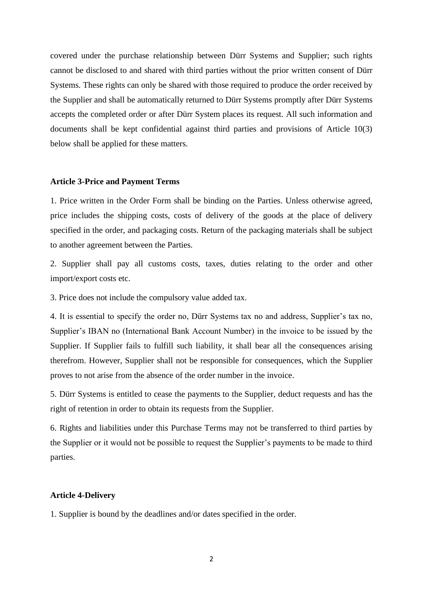covered under the purchase relationship between Dürr Systems and Supplier; such rights cannot be disclosed to and shared with third parties without the prior written consent of Dürr Systems. These rights can only be shared with those required to produce the order received by the Supplier and shall be automatically returned to Dürr Systems promptly after Dürr Systems accepts the completed order or after Dürr System places its request. All such information and documents shall be kept confidential against third parties and provisions of Article 10(3) below shall be applied for these matters.

#### **Article 3-Price and Payment Terms**

1. Price written in the Order Form shall be binding on the Parties. Unless otherwise agreed, price includes the shipping costs, costs of delivery of the goods at the place of delivery specified in the order, and packaging costs. Return of the packaging materials shall be subject to another agreement between the Parties.

2. Supplier shall pay all customs costs, taxes, duties relating to the order and other import/export costs etc.

3. Price does not include the compulsory value added tax.

4. It is essential to specify the order no, Dürr Systems tax no and address, Supplier's tax no, Supplier's IBAN no (International Bank Account Number) in the invoice to be issued by the Supplier. If Supplier fails to fulfill such liability, it shall bear all the consequences arising therefrom. However, Supplier shall not be responsible for consequences, which the Supplier proves to not arise from the absence of the order number in the invoice.

5. Dürr Systems is entitled to cease the payments to the Supplier, deduct requests and has the right of retention in order to obtain its requests from the Supplier.

6. Rights and liabilities under this Purchase Terms may not be transferred to third parties by the Supplier or it would not be possible to request the Supplier's payments to be made to third parties.

### **Article 4-Delivery**

1. Supplier is bound by the deadlines and/or dates specified in the order.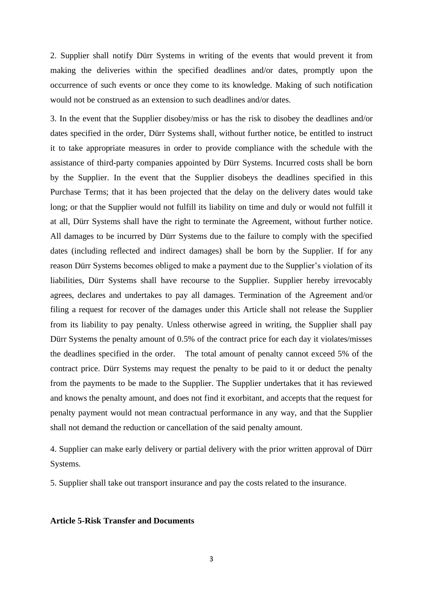2. Supplier shall notify Dürr Systems in writing of the events that would prevent it from making the deliveries within the specified deadlines and/or dates, promptly upon the occurrence of such events or once they come to its knowledge. Making of such notification would not be construed as an extension to such deadlines and/or dates.

3. In the event that the Supplier disobey/miss or has the risk to disobey the deadlines and/or dates specified in the order, Dürr Systems shall, without further notice, be entitled to instruct it to take appropriate measures in order to provide compliance with the schedule with the assistance of third-party companies appointed by Dürr Systems. Incurred costs shall be born by the Supplier. In the event that the Supplier disobeys the deadlines specified in this Purchase Terms; that it has been projected that the delay on the delivery dates would take long; or that the Supplier would not fulfill its liability on time and duly or would not fulfill it at all, Dürr Systems shall have the right to terminate the Agreement, without further notice. All damages to be incurred by Dürr Systems due to the failure to comply with the specified dates (including reflected and indirect damages) shall be born by the Supplier. If for any reason Dürr Systems becomes obliged to make a payment due to the Supplier's violation of its liabilities, Dürr Systems shall have recourse to the Supplier. Supplier hereby irrevocably agrees, declares and undertakes to pay all damages. Termination of the Agreement and/or filing a request for recover of the damages under this Article shall not release the Supplier from its liability to pay penalty. Unless otherwise agreed in writing, the Supplier shall pay Dürr Systems the penalty amount of 0.5% of the contract price for each day it violates/misses the deadlines specified in the order. The total amount of penalty cannot exceed 5% of the contract price. Dürr Systems may request the penalty to be paid to it or deduct the penalty from the payments to be made to the Supplier. The Supplier undertakes that it has reviewed and knows the penalty amount, and does not find it exorbitant, and accepts that the request for penalty payment would not mean contractual performance in any way, and that the Supplier shall not demand the reduction or cancellation of the said penalty amount.

4. Supplier can make early delivery or partial delivery with the prior written approval of Dürr Systems.

5. Supplier shall take out transport insurance and pay the costs related to the insurance.

#### **Article 5-Risk Transfer and Documents**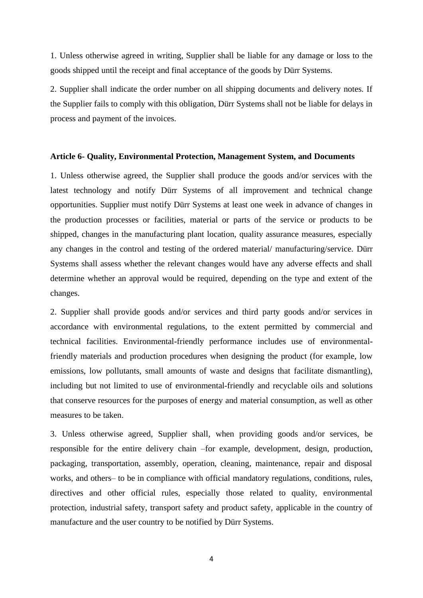1. Unless otherwise agreed in writing, Supplier shall be liable for any damage or loss to the goods shipped until the receipt and final acceptance of the goods by Dürr Systems.

2. Supplier shall indicate the order number on all shipping documents and delivery notes. If the Supplier fails to comply with this obligation, Dürr Systems shall not be liable for delays in process and payment of the invoices.

#### **Article 6- Quality, Environmental Protection, Management System, and Documents**

1. Unless otherwise agreed, the Supplier shall produce the goods and/or services with the latest technology and notify Dürr Systems of all improvement and technical change opportunities. Supplier must notify Dürr Systems at least one week in advance of changes in the production processes or facilities, material or parts of the service or products to be shipped, changes in the manufacturing plant location, quality assurance measures, especially any changes in the control and testing of the ordered material/ manufacturing/service. Dürr Systems shall assess whether the relevant changes would have any adverse effects and shall determine whether an approval would be required, depending on the type and extent of the changes.

2. Supplier shall provide goods and/or services and third party goods and/or services in accordance with environmental regulations, to the extent permitted by commercial and technical facilities. Environmental-friendly performance includes use of environmentalfriendly materials and production procedures when designing the product (for example, low emissions, low pollutants, small amounts of waste and designs that facilitate dismantling), including but not limited to use of environmental-friendly and recyclable oils and solutions that conserve resources for the purposes of energy and material consumption, as well as other measures to be taken.

3. Unless otherwise agreed, Supplier shall, when providing goods and/or services, be responsible for the entire delivery chain –for example, development, design, production, packaging, transportation, assembly, operation, cleaning, maintenance, repair and disposal works, and others– to be in compliance with official mandatory regulations, conditions, rules, directives and other official rules, especially those related to quality, environmental protection, industrial safety, transport safety and product safety, applicable in the country of manufacture and the user country to be notified by Dürr Systems.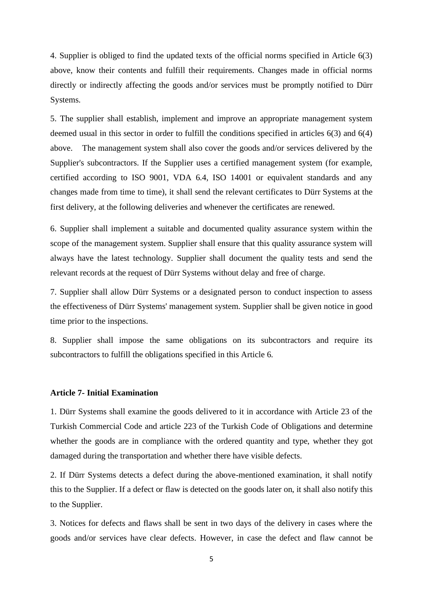4. Supplier is obliged to find the updated texts of the official norms specified in Article 6(3) above, know their contents and fulfill their requirements. Changes made in official norms directly or indirectly affecting the goods and/or services must be promptly notified to Dürr Systems.

5. The supplier shall establish, implement and improve an appropriate management system deemed usual in this sector in order to fulfill the conditions specified in articles 6(3) and 6(4) above. The management system shall also cover the goods and/or services delivered by the Supplier's subcontractors. If the Supplier uses a certified management system (for example, certified according to ISO 9001, VDA 6.4, ISO 14001 or equivalent standards and any changes made from time to time), it shall send the relevant certificates to Dürr Systems at the first delivery, at the following deliveries and whenever the certificates are renewed.

6. Supplier shall implement a suitable and documented quality assurance system within the scope of the management system. Supplier shall ensure that this quality assurance system will always have the latest technology. Supplier shall document the quality tests and send the relevant records at the request of Dürr Systems without delay and free of charge.

7. Supplier shall allow Dürr Systems or a designated person to conduct inspection to assess the effectiveness of Dürr Systems' management system. Supplier shall be given notice in good time prior to the inspections.

8. Supplier shall impose the same obligations on its subcontractors and require its subcontractors to fulfill the obligations specified in this Article 6.

### **Article 7- Initial Examination**

1. Dürr Systems shall examine the goods delivered to it in accordance with Article 23 of the Turkish Commercial Code and article 223 of the Turkish Code of Obligations and determine whether the goods are in compliance with the ordered quantity and type, whether they got damaged during the transportation and whether there have visible defects.

2. If Dürr Systems detects a defect during the above-mentioned examination, it shall notify this to the Supplier. If a defect or flaw is detected on the goods later on, it shall also notify this to the Supplier.

3. Notices for defects and flaws shall be sent in two days of the delivery in cases where the goods and/or services have clear defects. However, in case the defect and flaw cannot be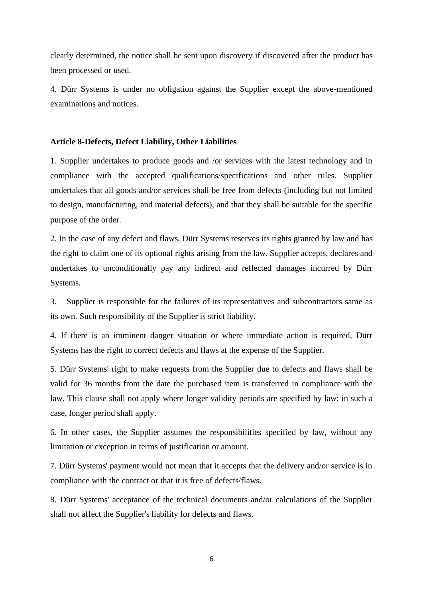clearly determined, the notice shall be sent upon discovery if discovered after the product has been processed or used.

4. Dürr Systems is under no obligation against the Supplier except the above-mentioned examinations and notices.

# **Article 8-Defects, Defect Liability, Other Liabilities**

1. Supplier undertakes to produce goods and /or services with the latest technology and in compliance with the accepted qualifications/specifications and other rules. Supplier undertakes that all goods and/or services shall be free from defects (including but not limited to design, manufacturing, and material defects), and that they shall be suitable for the specific purpose of the order.

2. In the case of any defect and flaws, Dürr Systems reserves its rights granted by law and has the right to claim one of its optional rights arising from the law. Supplier accepts, declares and undertakes to unconditionally pay any indirect and reflected damages incurred by Dürr Systems.

3. Supplier is responsible for the failures of its representatives and subcontractors same as its own. Such responsibility of the Supplier is strict liability.

4. If there is an imminent danger situation or where immediate action is required, Dürr Systems has the right to correct defects and flaws at the expense of the Supplier.

5. Dürr Systems' right to make requests from the Supplier due to defects and flaws shall be valid for 36 months from the date the purchased item is transferred in compliance with the law. This clause shall not apply where longer validity periods are specified by law; in such a case, longer period shall apply.

6. In other cases, the Supplier assumes the responsibilities specified by law, without any limitation or exception in terms of justification or amount.

7. Dürr Systems' payment would not mean that it accepts that the delivery and/or service is in compliance with the contract or that it is free of defects/flaws.

8. Dürr Systems' acceptance of the technical documents and/or calculations of the Supplier shall not affect the Supplier's liability for defects and flaws.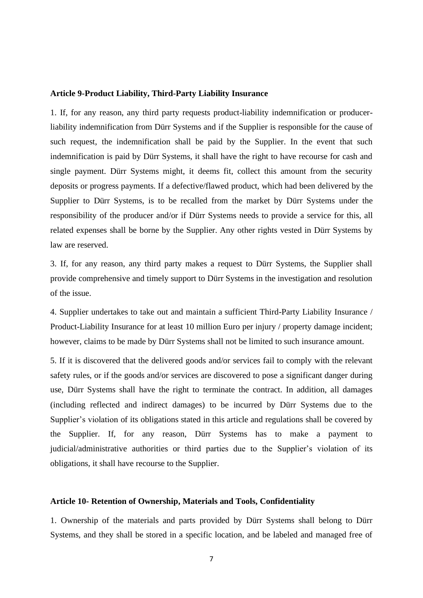#### **Article 9-Product Liability, Third-Party Liability Insurance**

1. If, for any reason, any third party requests product-liability indemnification or producerliability indemnification from Dürr Systems and if the Supplier is responsible for the cause of such request, the indemnification shall be paid by the Supplier. In the event that such indemnification is paid by Dürr Systems, it shall have the right to have recourse for cash and single payment. Dürr Systems might, it deems fit, collect this amount from the security deposits or progress payments. If a defective/flawed product, which had been delivered by the Supplier to Dürr Systems, is to be recalled from the market by Dürr Systems under the responsibility of the producer and/or if Dürr Systems needs to provide a service for this, all related expenses shall be borne by the Supplier. Any other rights vested in Dürr Systems by law are reserved.

3. If, for any reason, any third party makes a request to Dürr Systems, the Supplier shall provide comprehensive and timely support to Dürr Systems in the investigation and resolution of the issue.

4. Supplier undertakes to take out and maintain a sufficient Third-Party Liability Insurance / Product-Liability Insurance for at least 10 million Euro per injury / property damage incident; however, claims to be made by Dürr Systems shall not be limited to such insurance amount.

5. If it is discovered that the delivered goods and/or services fail to comply with the relevant safety rules, or if the goods and/or services are discovered to pose a significant danger during use, Dürr Systems shall have the right to terminate the contract. In addition, all damages (including reflected and indirect damages) to be incurred by Dürr Systems due to the Supplier's violation of its obligations stated in this article and regulations shall be covered by the Supplier. If, for any reason, Dürr Systems has to make a payment to judicial/administrative authorities or third parties due to the Supplier's violation of its obligations, it shall have recourse to the Supplier.

# **Article 10- Retention of Ownership, Materials and Tools, Confidentiality**

1. Ownership of the materials and parts provided by Dürr Systems shall belong to Dürr Systems, and they shall be stored in a specific location, and be labeled and managed free of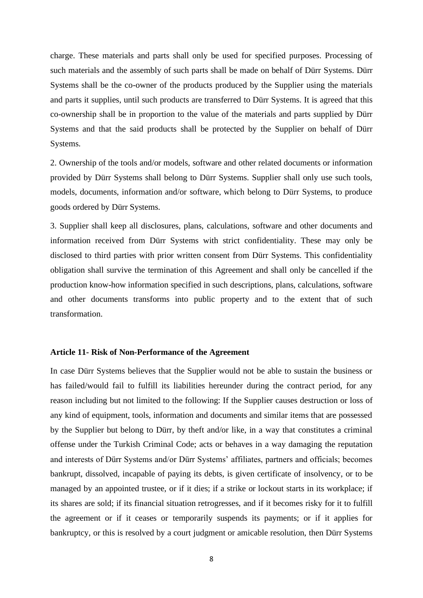charge. These materials and parts shall only be used for specified purposes. Processing of such materials and the assembly of such parts shall be made on behalf of Dürr Systems. Dürr Systems shall be the co-owner of the products produced by the Supplier using the materials and parts it supplies, until such products are transferred to Dürr Systems. It is agreed that this co-ownership shall be in proportion to the value of the materials and parts supplied by Dürr Systems and that the said products shall be protected by the Supplier on behalf of Dürr Systems.

2. Ownership of the tools and/or models, software and other related documents or information provided by Dürr Systems shall belong to Dürr Systems. Supplier shall only use such tools, models, documents, information and/or software, which belong to Dürr Systems, to produce goods ordered by Dürr Systems.

3. Supplier shall keep all disclosures, plans, calculations, software and other documents and information received from Dürr Systems with strict confidentiality. These may only be disclosed to third parties with prior written consent from Dürr Systems. This confidentiality obligation shall survive the termination of this Agreement and shall only be cancelled if the production know-how information specified in such descriptions, plans, calculations, software and other documents transforms into public property and to the extent that of such transformation.

## **Article 11- Risk of Non-Performance of the Agreement**

In case Dürr Systems believes that the Supplier would not be able to sustain the business or has failed/would fail to fulfill its liabilities hereunder during the contract period, for any reason including but not limited to the following: If the Supplier causes destruction or loss of any kind of equipment, tools, information and documents and similar items that are possessed by the Supplier but belong to Dürr, by theft and/or like, in a way that constitutes a criminal offense under the Turkish Criminal Code; acts or behaves in a way damaging the reputation and interests of Dürr Systems and/or Dürr Systems' affiliates, partners and officials; becomes bankrupt, dissolved, incapable of paying its debts, is given certificate of insolvency, or to be managed by an appointed trustee, or if it dies; if a strike or lockout starts in its workplace; if its shares are sold; if its financial situation retrogresses, and if it becomes risky for it to fulfill the agreement or if it ceases or temporarily suspends its payments; or if it applies for bankruptcy, or this is resolved by a court judgment or amicable resolution, then Dürr Systems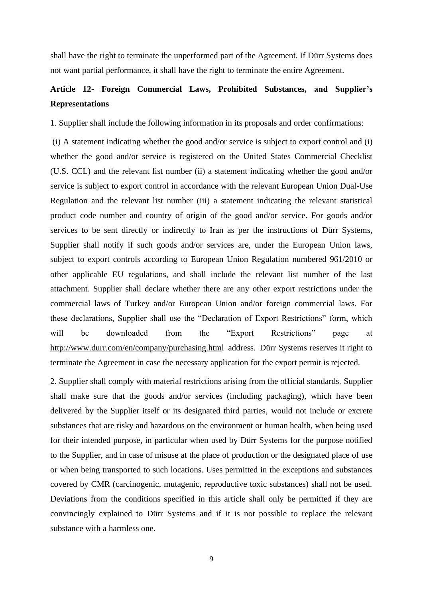shall have the right to terminate the unperformed part of the Agreement. If Dürr Systems does not want partial performance, it shall have the right to terminate the entire Agreement.

# **Article 12- Foreign Commercial Laws, Prohibited Substances, and Supplier's Representations**

1. Supplier shall include the following information in its proposals and order confirmations:

(i) A statement indicating whether the good and/or service is subject to export control and (i) whether the good and/or service is registered on the United States Commercial Checklist (U.S. CCL) and the relevant list number (ii) a statement indicating whether the good and/or service is subject to export control in accordance with the relevant European Union Dual-Use Regulation and the relevant list number (iii) a statement indicating the relevant statistical product code number and country of origin of the good and/or service. For goods and/or services to be sent directly or indirectly to Iran as per the instructions of Dürr Systems, Supplier shall notify if such goods and/or services are, under the European Union laws, subject to export controls according to European Union Regulation numbered 961/2010 or other applicable EU regulations, and shall include the relevant list number of the last attachment. Supplier shall declare whether there are any other export restrictions under the commercial laws of Turkey and/or European Union and/or foreign commercial laws. For these declarations, Supplier shall use the "Declaration of Export Restrictions" form, which will be downloaded from the "Export Restrictions" page at <http://www.durr.com/en/company/purchasing.html> address. Dürr Systems reserves it right to terminate the Agreement in case the necessary application for the export permit is rejected.

2. Supplier shall comply with material restrictions arising from the official standards. Supplier shall make sure that the goods and/or services (including packaging), which have been delivered by the Supplier itself or its designated third parties, would not include or excrete substances that are risky and hazardous on the environment or human health, when being used for their intended purpose, in particular when used by Dürr Systems for the purpose notified to the Supplier, and in case of misuse at the place of production or the designated place of use or when being transported to such locations. Uses permitted in the exceptions and substances covered by CMR (carcinogenic, mutagenic, reproductive toxic substances) shall not be used. Deviations from the conditions specified in this article shall only be permitted if they are convincingly explained to Dürr Systems and if it is not possible to replace the relevant substance with a harmless one.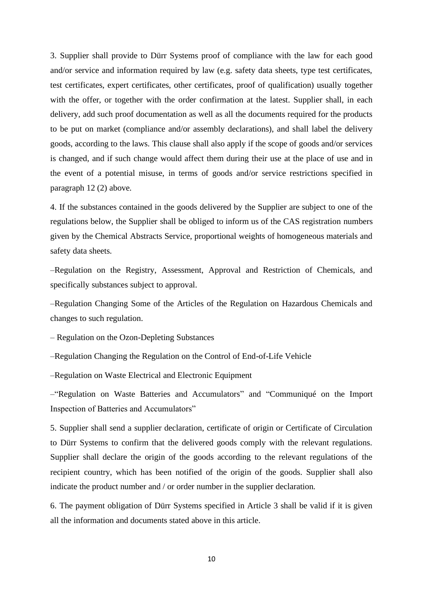3. Supplier shall provide to Dürr Systems proof of compliance with the law for each good and/or service and information required by law (e.g. safety data sheets, type test certificates, test certificates, expert certificates, other certificates, proof of qualification) usually together with the offer, or together with the order confirmation at the latest. Supplier shall, in each delivery, add such proof documentation as well as all the documents required for the products to be put on market (compliance and/or assembly declarations), and shall label the delivery goods, according to the laws. This clause shall also apply if the scope of goods and/or services is changed, and if such change would affect them during their use at the place of use and in the event of a potential misuse, in terms of goods and/or service restrictions specified in paragraph 12 (2) above.

4. If the substances contained in the goods delivered by the Supplier are subject to one of the regulations below, the Supplier shall be obliged to inform us of the CAS registration numbers given by the Chemical Abstracts Service, proportional weights of homogeneous materials and safety data sheets.

–Regulation on the Registry, Assessment, Approval and Restriction of Chemicals, and specifically substances subject to approval.

–Regulation Changing Some of the Articles of the Regulation on Hazardous Chemicals and changes to such regulation.

– Regulation on the Ozon-Depleting Substances

–Regulation Changing the Regulation on the Control of End-of-Life Vehicle

–Regulation on Waste Electrical and Electronic Equipment

–"Regulation on Waste Batteries and Accumulators" and "Communiqué on the Import Inspection of Batteries and Accumulators"

5. Supplier shall send a supplier declaration, certificate of origin or Certificate of Circulation to Dürr Systems to confirm that the delivered goods comply with the relevant regulations. Supplier shall declare the origin of the goods according to the relevant regulations of the recipient country, which has been notified of the origin of the goods. Supplier shall also indicate the product number and / or order number in the supplier declaration.

6. The payment obligation of Dürr Systems specified in Article 3 shall be valid if it is given all the information and documents stated above in this article.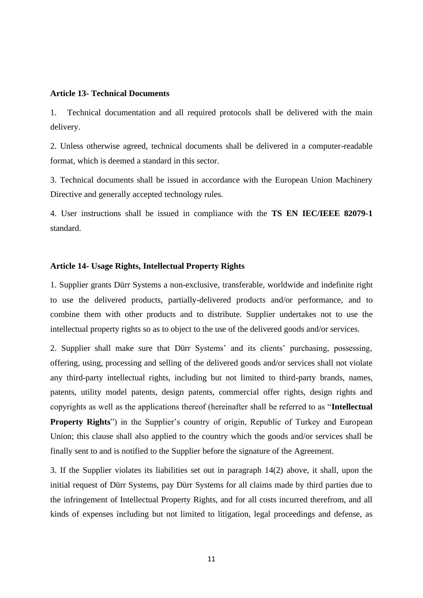### **Article 13- Technical Documents**

1. Technical documentation and all required protocols shall be delivered with the main delivery.

2. Unless otherwise agreed, technical documents shall be delivered in a computer-readable format, which is deemed a standard in this sector.

3. Technical documents shall be issued in accordance with the European Union Machinery Directive and generally accepted technology rules.

4. User instructions shall be issued in compliance with the **TS EN IEC/IEEE 82079-1** standard.

## **Article 14- Usage Rights, Intellectual Property Rights**

1. Supplier grants Dürr Systems a non-exclusive, transferable, worldwide and indefinite right to use the delivered products, partially-delivered products and/or performance, and to combine them with other products and to distribute. Supplier undertakes not to use the intellectual property rights so as to object to the use of the delivered goods and/or services.

2. Supplier shall make sure that Dürr Systems' and its clients' purchasing, possessing, offering, using, processing and selling of the delivered goods and/or services shall not violate any third-party intellectual rights, including but not limited to third-party brands, names, patents, utility model patents, design patents, commercial offer rights, design rights and copyrights as well as the applications thereof (hereinafter shall be referred to as "**Intellectual Property Rights**") in the Supplier's country of origin, Republic of Turkey and European Union; this clause shall also applied to the country which the goods and/or services shall be finally sent to and is notified to the Supplier before the signature of the Agreement.

3. If the Supplier violates its liabilities set out in paragraph 14(2) above, it shall, upon the initial request of Dürr Systems, pay Dürr Systems for all claims made by third parties due to the infringement of Intellectual Property Rights, and for all costs incurred therefrom, and all kinds of expenses including but not limited to litigation, legal proceedings and defense, as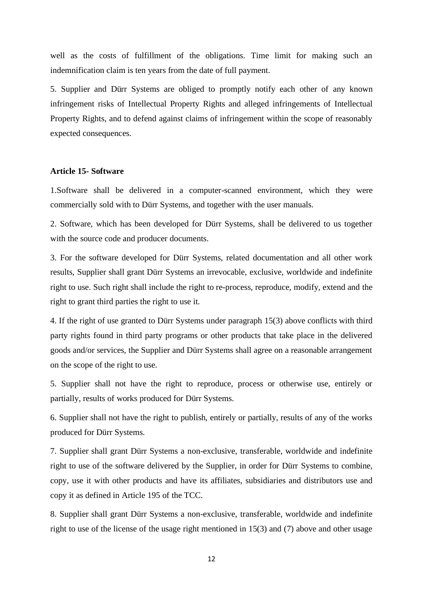well as the costs of fulfillment of the obligations. Time limit for making such an indemnification claim is ten years from the date of full payment.

5. Supplier and Dürr Systems are obliged to promptly notify each other of any known infringement risks of Intellectual Property Rights and alleged infringements of Intellectual Property Rights, and to defend against claims of infringement within the scope of reasonably expected consequences.

# **Article 15- Software**

1.Software shall be delivered in a computer-scanned environment, which they were commercially sold with to Dürr Systems, and together with the user manuals.

2. Software, which has been developed for Dürr Systems, shall be delivered to us together with the source code and producer documents.

3. For the software developed for Dürr Systems, related documentation and all other work results, Supplier shall grant Dürr Systems an irrevocable, exclusive, worldwide and indefinite right to use. Such right shall include the right to re-process, reproduce, modify, extend and the right to grant third parties the right to use it.

4. If the right of use granted to Dürr Systems under paragraph 15(3) above conflicts with third party rights found in third party programs or other products that take place in the delivered goods and/or services, the Supplier and Dürr Systems shall agree on a reasonable arrangement on the scope of the right to use.

5. Supplier shall not have the right to reproduce, process or otherwise use, entirely or partially, results of works produced for Dürr Systems.

6. Supplier shall not have the right to publish, entirely or partially, results of any of the works produced for Dürr Systems.

7. Supplier shall grant Dürr Systems a non-exclusive, transferable, worldwide and indefinite right to use of the software delivered by the Supplier, in order for Dürr Systems to combine, copy, use it with other products and have its affiliates, subsidiaries and distributors use and copy it as defined in Article 195 of the TCC.

8. Supplier shall grant Dürr Systems a non-exclusive, transferable, worldwide and indefinite right to use of the license of the usage right mentioned in 15(3) and (7) above and other usage